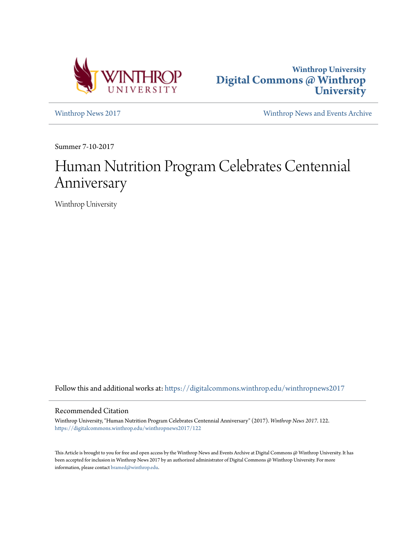



[Winthrop News 2017](https://digitalcommons.winthrop.edu/winthropnews2017?utm_source=digitalcommons.winthrop.edu%2Fwinthropnews2017%2F122&utm_medium=PDF&utm_campaign=PDFCoverPages) [Winthrop News and Events Archive](https://digitalcommons.winthrop.edu/winthropnewsarchives?utm_source=digitalcommons.winthrop.edu%2Fwinthropnews2017%2F122&utm_medium=PDF&utm_campaign=PDFCoverPages)

Summer 7-10-2017

# Human Nutrition Program Celebrates Centennial Anniversary

Winthrop University

Follow this and additional works at: [https://digitalcommons.winthrop.edu/winthropnews2017](https://digitalcommons.winthrop.edu/winthropnews2017?utm_source=digitalcommons.winthrop.edu%2Fwinthropnews2017%2F122&utm_medium=PDF&utm_campaign=PDFCoverPages)

### Recommended Citation

Winthrop University, "Human Nutrition Program Celebrates Centennial Anniversary" (2017). *Winthrop News 2017*. 122. [https://digitalcommons.winthrop.edu/winthropnews2017/122](https://digitalcommons.winthrop.edu/winthropnews2017/122?utm_source=digitalcommons.winthrop.edu%2Fwinthropnews2017%2F122&utm_medium=PDF&utm_campaign=PDFCoverPages)

This Article is brought to you for free and open access by the Winthrop News and Events Archive at Digital Commons @ Winthrop University. It has been accepted for inclusion in Winthrop News 2017 by an authorized administrator of Digital Commons @ Winthrop University. For more information, please contact [bramed@winthrop.edu](mailto:bramed@winthrop.edu).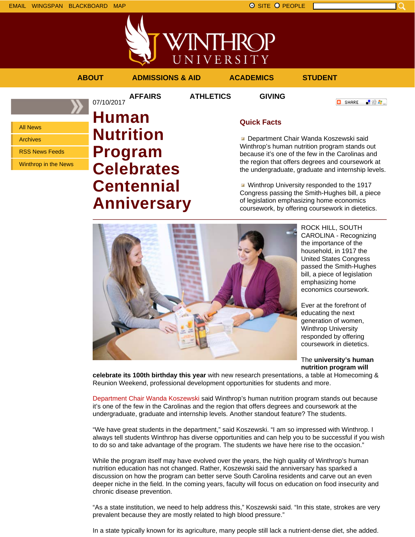



### **ABOUT ADMISSIONS & AID ACADEMICS STUDENT**

07/10/2017

**AFFAIRS ATHLETICS GIVING**

「验費」

**O** SHARE

All News

Archives

RSS News Feeds

Winthrop in the News

# **Human Nutrition Program Celebrates Centennial Anniversary**

## **Quick Facts**

**Department Chair Wanda Koszewski said** Winthrop's human nutrition program stands out because it's one of the few in the Carolinas and the region that offers degrees and coursework at the undergraduate, graduate and internship levels.

**Winthrop University responded to the 1917** Congress passing the Smith-Hughes bill, a piece of legislation emphasizing home economics coursework, by offering coursework in dietetics.



ROCK HILL, SOUTH CAROLINA - Recognizing the importance of the household, in 1917 the United States Congress passed the Smith-Hughes bill, a piece of legislation emphasizing home economics coursework.

Ever at the forefront of educating the next generation of women, Winthrop University responded by offering coursework in dietetics.

The **university's human nutrition program will**

**celebrate its 100th birthday this year** with new research presentations, a table at Homecoming & Reunion Weekend, professional development opportunities for students and more.

Department Chair Wanda Koszewski said Winthrop's human nutrition program stands out because it's one of the few in the Carolinas and the region that offers degrees and coursework at the undergraduate, graduate and internship levels. Another standout feature? The students.

"We have great students in the department," said Koszewski. "I am so impressed with Winthrop. I always tell students Winthrop has diverse opportunities and can help you to be successful if you wish to do so and take advantage of the program. The students we have here rise to the occasion."

While the program itself may have evolved over the years, the high quality of Winthrop's human nutrition education has not changed. Rather, Koszewski said the anniversary has sparked a discussion on how the program can better serve South Carolina residents and carve out an even deeper niche in the field. In the coming years, faculty will focus on education on food insecurity and chronic disease prevention.

"As a state institution, we need to help address this," Koszewski said. "In this state, strokes are very prevalent because they are mostly related to high blood pressure."

In a state typically known for its agriculture, many people still lack a nutrient-dense diet, she added.